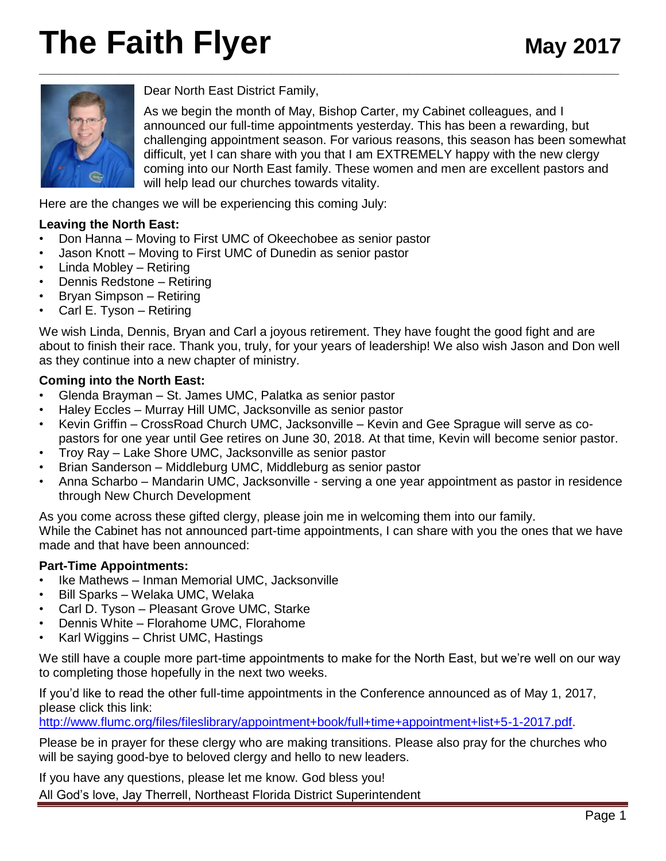

Dear North East District Family,

As we begin the month of May, Bishop Carter, my Cabinet colleagues, and I announced our full-time appointments yesterday. This has been a rewarding, but challenging appointment season. For various reasons, this season has been somewhat difficult, yet I can share with you that I am EXTREMELY happy with the new clergy coming into our North East family. These women and men are excellent pastors and will help lead our churches towards vitality.

Here are the changes we will be experiencing this coming July:

### **Leaving the North East:**

- Don Hanna Moving to First UMC of Okeechobee as senior pastor
- Jason Knott Moving to First UMC of Dunedin as senior pastor
- Linda Mobley Retiring
- Dennis Redstone Retiring
- Bryan Simpson Retiring
- Carl E. Tyson Retiring

We wish Linda, Dennis, Bryan and Carl a joyous retirement. They have fought the good fight and are about to finish their race. Thank you, truly, for your years of leadership! We also wish Jason and Don well as they continue into a new chapter of ministry.

#### **Coming into the North East:**

- Glenda Brayman St. James UMC, Palatka as senior pastor
- Haley Eccles Murray Hill UMC, Jacksonville as senior pastor
- Kevin Griffin CrossRoad Church UMC, Jacksonville Kevin and Gee Sprague will serve as copastors for one year until Gee retires on June 30, 2018. At that time, Kevin will become senior pastor.
- Troy Ray Lake Shore UMC, Jacksonville as senior pastor
- Brian Sanderson Middleburg UMC, Middleburg as senior pastor
- Anna Scharbo Mandarin UMC, Jacksonville serving a one year appointment as pastor in residence through New Church Development

As you come across these gifted clergy, please join me in welcoming them into our family. While the Cabinet has not announced part-time appointments, I can share with you the ones that we have made and that have been announced:

### **Part-Time Appointments:**

- Ike Mathews Inman Memorial UMC, Jacksonville
- Bill Sparks Welaka UMC, Welaka
- Carl D. Tyson Pleasant Grove UMC, Starke
- Dennis White Florahome UMC, Florahome
- Karl Wiggins Christ UMC, Hastings

We still have a couple more part-time appointments to make for the North East, but we're well on our way to completing those hopefully in the next two weeks.

If you'd like to read the other full-time appointments in the Conference announced as of May 1, 2017, please click this link:

[http://www.flumc.org/files/fileslibrary/appointment+book/full+time+appointment+list+5-1-2017.pdf.](http://www.flumc.org/files/fileslibrary/appointment+book/full+time+appointment+list+5-1-2017.pdf)

Please be in prayer for these clergy who are making transitions. Please also pray for the churches who will be saying good-bye to beloved clergy and hello to new leaders.

If you have any questions, please let me know. God bless you! All God's love, Jay Therrell, Northeast Florida District Superintendent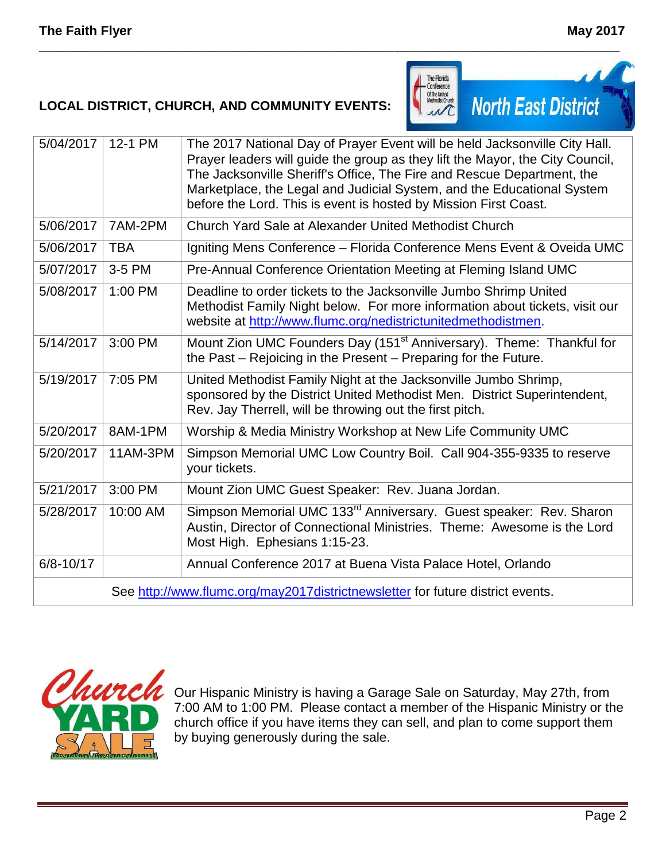## **LOCAL DISTRICT, CHURCH, AND COMMUNITY EVENTS:**



| 5/04/2017                                                                      | 12-1 PM    | The 2017 National Day of Prayer Event will be held Jacksonville City Hall.<br>Prayer leaders will guide the group as they lift the Mayor, the City Council,<br>The Jacksonville Sheriff's Office, The Fire and Rescue Department, the<br>Marketplace, the Legal and Judicial System, and the Educational System<br>before the Lord. This is event is hosted by Mission First Coast. |  |  |  |  |  |
|--------------------------------------------------------------------------------|------------|-------------------------------------------------------------------------------------------------------------------------------------------------------------------------------------------------------------------------------------------------------------------------------------------------------------------------------------------------------------------------------------|--|--|--|--|--|
| 5/06/2017                                                                      | 7AM-2PM    | Church Yard Sale at Alexander United Methodist Church                                                                                                                                                                                                                                                                                                                               |  |  |  |  |  |
| 5/06/2017                                                                      | <b>TBA</b> | Igniting Mens Conference - Florida Conference Mens Event & Oveida UMC                                                                                                                                                                                                                                                                                                               |  |  |  |  |  |
| 5/07/2017                                                                      | 3-5 PM     | Pre-Annual Conference Orientation Meeting at Fleming Island UMC                                                                                                                                                                                                                                                                                                                     |  |  |  |  |  |
| 5/08/2017                                                                      | 1:00 PM    | Deadline to order tickets to the Jacksonville Jumbo Shrimp United<br>Methodist Family Night below. For more information about tickets, visit our<br>website at http://www.flumc.org/nedistrictunitedmethodistmen.                                                                                                                                                                   |  |  |  |  |  |
| 5/14/2017                                                                      | 3:00 PM    | Mount Zion UMC Founders Day (151 <sup>st</sup> Anniversary). Theme: Thankful for<br>the Past - Rejoicing in the Present - Preparing for the Future.                                                                                                                                                                                                                                 |  |  |  |  |  |
| 5/19/2017                                                                      | 7:05 PM    | United Methodist Family Night at the Jacksonville Jumbo Shrimp,<br>sponsored by the District United Methodist Men. District Superintendent,<br>Rev. Jay Therrell, will be throwing out the first pitch.                                                                                                                                                                             |  |  |  |  |  |
| 5/20/2017                                                                      | 8AM-1PM    | Worship & Media Ministry Workshop at New Life Community UMC                                                                                                                                                                                                                                                                                                                         |  |  |  |  |  |
| 5/20/2017                                                                      | 11AM-3PM   | Simpson Memorial UMC Low Country Boil. Call 904-355-9335 to reserve<br>your tickets.                                                                                                                                                                                                                                                                                                |  |  |  |  |  |
| 5/21/2017                                                                      | 3:00 PM    | Mount Zion UMC Guest Speaker: Rev. Juana Jordan.                                                                                                                                                                                                                                                                                                                                    |  |  |  |  |  |
| 5/28/2017                                                                      | 10:00 AM   | Simpson Memorial UMC 133 <sup>rd</sup> Anniversary. Guest speaker: Rev. Sharon<br>Austin, Director of Connectional Ministries. Theme: Awesome is the Lord<br>Most High. Ephesians 1:15-23.                                                                                                                                                                                          |  |  |  |  |  |
| $6/8 - 10/17$                                                                  |            | Annual Conference 2017 at Buena Vista Palace Hotel, Orlando                                                                                                                                                                                                                                                                                                                         |  |  |  |  |  |
| See http://www.flumc.org/may2017districtnewsletter for future district events. |            |                                                                                                                                                                                                                                                                                                                                                                                     |  |  |  |  |  |

**\_\_\_\_\_\_\_\_\_\_\_\_\_\_\_\_\_\_\_\_\_\_\_\_\_\_\_\_\_\_\_\_\_\_\_\_\_\_\_\_\_\_\_\_\_\_\_\_\_\_\_\_\_\_\_\_\_\_\_\_\_\_\_\_\_\_\_\_\_\_\_\_\_\_\_\_\_\_\_\_**



Our Hispanic Ministry is having a Garage Sale on Saturday, May 27th, from 7:00 AM to 1:00 PM. Please contact a member of the Hispanic Ministry or the church office if you have items they can sell, and plan to come support them by buying generously during the sale.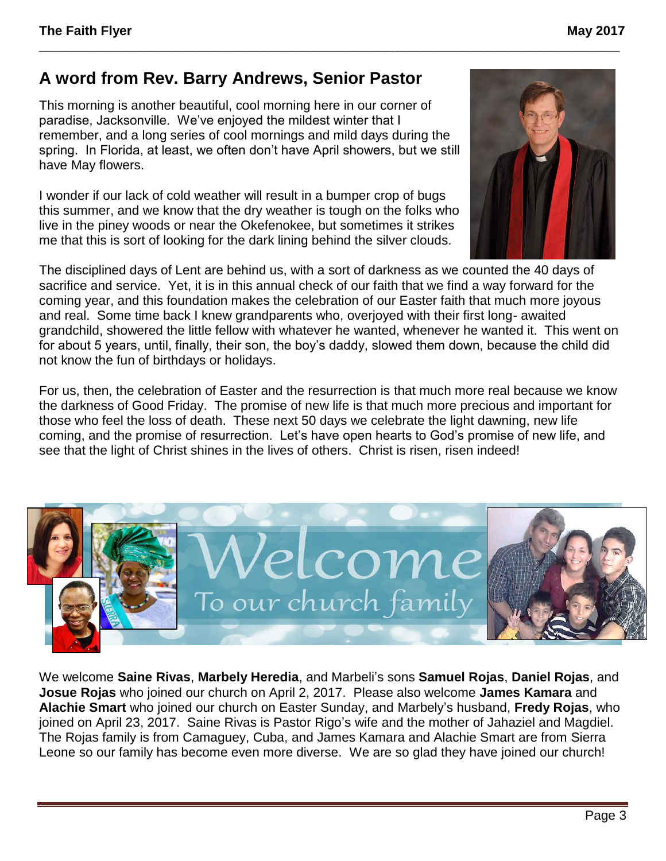## **A word from Rev. Barry Andrews, Senior Pastor**

This morning is another beautiful, cool morning here in our corner of paradise, Jacksonville. We've enjoyed the mildest winter that I remember, and a long series of cool mornings and mild days during the spring. In Florida, at least, we often don't have April showers, but we still have May flowers.

I wonder if our lack of cold weather will result in a bumper crop of bugs this summer, and we know that the dry weather is tough on the folks who live in the piney woods or near the Okefenokee, but sometimes it strikes me that this is sort of looking for the dark lining behind the silver clouds.



The disciplined days of Lent are behind us, with a sort of darkness as we counted the 40 days of sacrifice and service. Yet, it is in this annual check of our faith that we find a way forward for the coming year, and this foundation makes the celebration of our Easter faith that much more joyous and real. Some time back I knew grandparents who, overjoyed with their first long- awaited grandchild, showered the little fellow with whatever he wanted, whenever he wanted it. This went on for about 5 years, until, finally, their son, the boy's daddy, slowed them down, because the child did not know the fun of birthdays or holidays.

For us, then, the celebration of Easter and the resurrection is that much more real because we know the darkness of Good Friday. The promise of new life is that much more precious and important for those who feel the loss of death. These next 50 days we celebrate the light dawning, new life coming, and the promise of resurrection. Let's have open hearts to God's promise of new life, and see that the light of Christ shines in the lives of others. Christ is risen, risen indeed!



We welcome **Saine Rivas**, **Marbely Heredia**, and Marbeli's sons **Samuel Rojas**, **Daniel Rojas**, and **Josue Rojas** who joined our church on April 2, 2017. Please also welcome **James Kamara** and **Alachie Smart** who joined our church on Easter Sunday, and Marbely's husband, **Fredy Rojas**, who joined on April 23, 2017. Saine Rivas is Pastor Rigo's wife and the mother of Jahaziel and Magdiel. The Rojas family is from Camaguey, Cuba, and James Kamara and Alachie Smart are from Sierra Leone so our family has become even more diverse. We are so glad they have joined our church!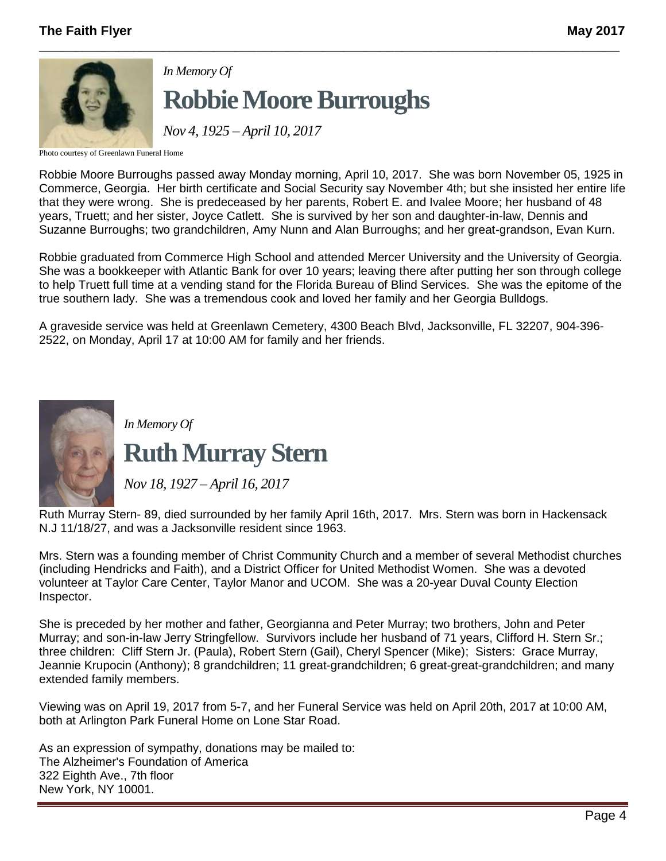

*In Memory Of* **Robbie Moore Burroughs** 

*Nov 4, 1925 – April 10, 2017*

Photo courtesy of Greenlawn Funeral Home

Robbie Moore Burroughs passed away Monday morning, April 10, 2017. She was born November 05, 1925 in Commerce, Georgia. Her birth certificate and Social Security say November 4th; but she insisted her entire life that they were wrong. She is predeceased by her parents, Robert E. and Ivalee Moore; her husband of 48 years, Truett; and her sister, Joyce Catlett. She is survived by her son and daughter-in-law, Dennis and Suzanne Burroughs; two grandchildren, Amy Nunn and Alan Burroughs; and her great-grandson, Evan Kurn.

Robbie graduated from Commerce High School and attended Mercer University and the University of Georgia. She was a bookkeeper with Atlantic Bank for over 10 years; leaving there after putting her son through college to help Truett full time at a vending stand for the Florida Bureau of Blind Services. She was the epitome of the true southern lady. She was a tremendous cook and loved her family and her Georgia Bulldogs.

A graveside service was held at Greenlawn Cemetery, 4300 Beach Blvd, Jacksonville, FL 32207, 904-396- 2522, on Monday, April 17 at 10:00 AM for family and her friends.



*In Memory Of*

# **Ruth Murray Stern**

*Nov 18, 1927 – April 16, 2017*

Ruth Murray Stern- 89, died surrounded by her family April 16th, 2017. Mrs. Stern was born in Hackensack N.J 11/18/27, and was a Jacksonville resident since 1963.

Mrs. Stern was a founding member of Christ Community Church and a member of several Methodist churches (including Hendricks and Faith), and a District Officer for United Methodist Women. She was a devoted volunteer at Taylor Care Center, Taylor Manor and UCOM. She was a 20-year Duval County Election Inspector.

She is preceded by her mother and father, Georgianna and Peter Murray; two brothers, John and Peter Murray; and son-in-law Jerry Stringfellow. Survivors include her husband of 71 years, Clifford H. Stern Sr.; three children: Cliff Stern Jr. (Paula), Robert Stern (Gail), Cheryl Spencer (Mike); Sisters: Grace Murray, Jeannie Krupocin (Anthony); 8 grandchildren; 11 great-grandchildren; 6 great-great-grandchildren; and many extended family members.

Viewing was on April 19, 2017 from 5-7, and her Funeral Service was held on April 20th, 2017 at 10:00 AM, both at Arlington Park Funeral Home on Lone Star Road.

As an expression of sympathy, donations may be mailed to: The Alzheimer's Foundation of America 322 Eighth Ave., 7th floor New York, NY 10001.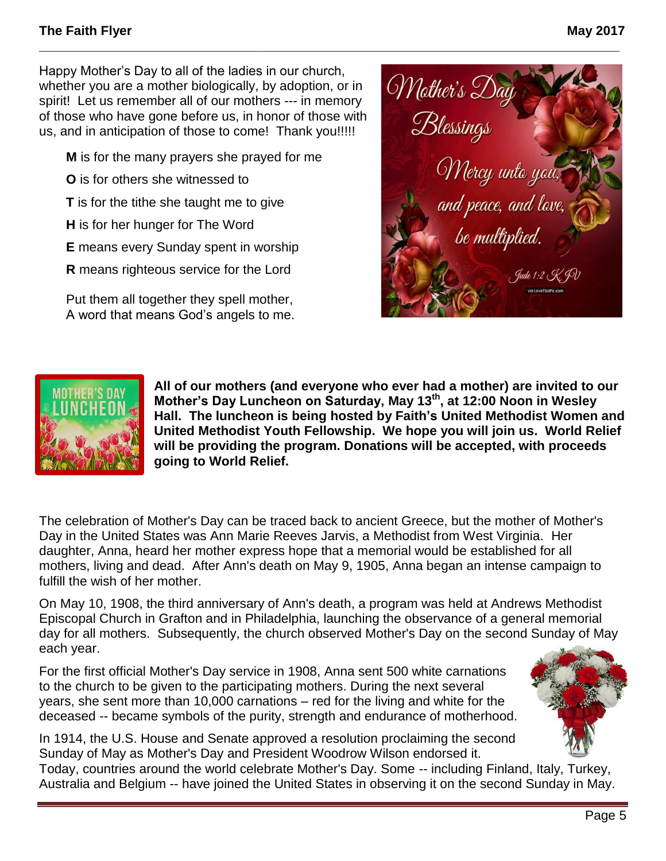Happy Mother's Day to all of the ladies in our church, whether you are a mother biologically, by adoption, or in spirit! Let us remember all of our mothers --- in memory of those who have gone before us, in honor of those with us, and in anticipation of those to come! Thank you!!!!!

- **M** is for the many prayers she prayed for me
- **O** is for others she witnessed to
- **T** is for the tithe she taught me to give
- **H** is for her hunger for The Word
- **E** means every Sunday spent in worship
- **R** means righteous service for the Lord

Put them all together they spell mother, A word that means God's angels to me.





**All of our mothers (and everyone who ever had a mother) are invited to our Mother's Day Luncheon on Saturday, May 13th, at 12:00 Noon in Wesley Hall. The luncheon is being hosted by Faith's United Methodist Women and United Methodist Youth Fellowship. We hope you will join us. World Relief will be providing the program. Donations will be accepted, with proceeds going to World Relief.**

The celebration of Mother's Day can be traced back to ancient Greece, but the mother of Mother's Day in the United States was Ann Marie Reeves Jarvis, a Methodist from West Virginia. Her daughter, Anna, heard her mother express hope that a memorial would be established for all mothers, living and dead. After Ann's death on May 9, 1905, Anna began an intense campaign to fulfill the wish of her mother.

**\_\_\_\_\_\_\_\_\_\_\_\_\_\_\_\_\_\_\_\_\_\_\_\_\_\_\_\_\_\_\_\_\_\_\_\_\_\_\_\_\_\_\_\_\_\_\_\_\_\_\_\_\_\_\_\_\_\_\_\_\_\_\_\_\_\_\_\_\_\_\_\_\_\_\_\_\_\_\_\_**

On May 10, 1908, the third anniversary of Ann's death, a program was held at Andrews Methodist Episcopal Church in Grafton and in Philadelphia, launching the observance of a general memorial day for all mothers. Subsequently, the church observed Mother's Day on the second Sunday of May each year.

For the first official Mother's Day service in 1908, Anna sent 500 white carnations to the church to be given to the participating mothers. During the next several years, she sent more than 10,000 carnations – red for the living and white for the deceased -- became symbols of the purity, strength and endurance of motherhood.



In 1914, the U.S. House and Senate approved a resolution proclaiming the second Sunday of May as Mother's Day and President Woodrow Wilson endorsed it.

Today, countries around the world celebrate Mother's Day. Some -- including Finland, Italy, Turkey, Australia and Belgium -- have joined the United States in observing it on the second Sunday in May.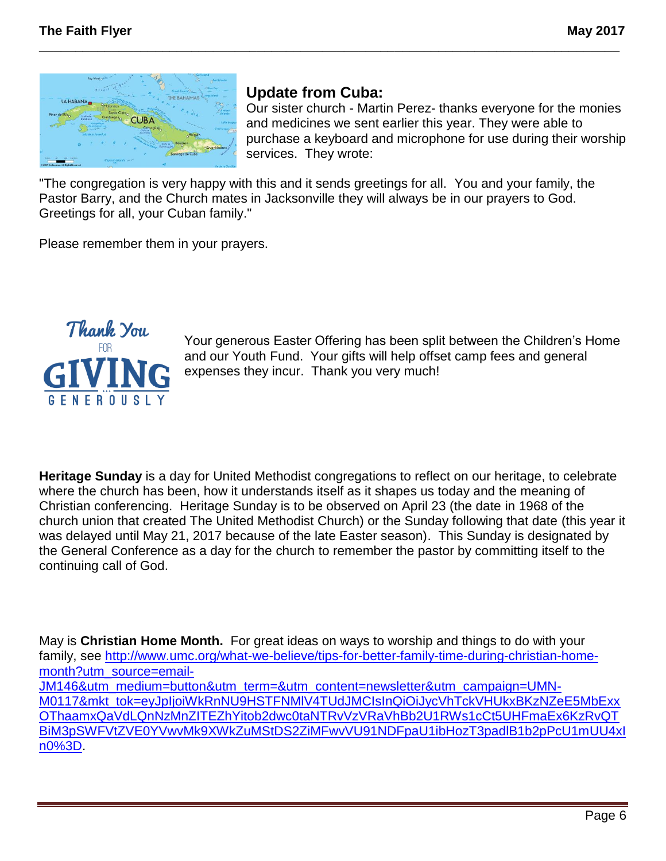

## **Update from Cuba:**

**\_\_\_\_\_\_\_\_\_\_\_\_\_\_\_\_\_\_\_\_\_\_\_\_\_\_\_\_\_\_\_\_\_\_\_\_\_\_\_\_\_\_\_\_\_\_\_\_\_\_\_\_\_\_\_\_\_\_\_\_\_\_\_\_\_\_\_\_\_\_\_\_\_\_\_\_\_\_\_\_**

Our sister church - Martin Perez- thanks everyone for the monies and medicines we sent earlier this year. They were able to purchase a keyboard and microphone for use during their worship services. They wrote:

"The congregation is very happy with this and it sends greetings for all. You and your family, the Pastor Barry, and the Church mates in Jacksonville they will always be in our prayers to God. Greetings for all, your Cuban family."

Please remember them in your prayers.



Your generous Easter Offering has been split between the Children's Home and our Youth Fund. Your gifts will help offset camp fees and general expenses they incur. Thank you very much!

**Heritage Sunday** is a day for United Methodist congregations to reflect on our heritage, to celebrate where the church has been, how it understands itself as it shapes us today and the meaning of Christian conferencing. Heritage Sunday is to be observed on April 23 (the date in 1968 of the church union that created The United Methodist Church) or the Sunday following that date (this year it was delayed until May 21, 2017 because of the late Easter season). This Sunday is designated by the General Conference as a day for the church to remember the pastor by committing itself to the continuing call of God.

May is **Christian Home Month.** For great ideas on ways to worship and things to do with your family, see [http://www.umc.org/what-we-believe/tips-for-better-family-time-during-christian-home](http://www.umc.org/what-we-believe/tips-for-better-family-time-during-christian-home-month?utm_source=email-JM146&utm_medium=button&utm_term=&utm_content=newsletter&utm_campaign=UMN-M0117&mkt_tok=eyJpIjoiWkRnNU9HSTFNMlV4TUdJMCIsInQiOiJycVhTckVHUkxBKzNZeE5MbExxOThaamxQaVdLQnNzMnZITEZhYitob2dwc0taNTRvVzVRaVhBb2U1RWs1cCt5UHFmaEx6KzRvQTBiM3pSWFVtZVE0YVwvMk9XWkZuMStDS2ZiMFwvVU91NDFpaU1ibHozT3padlB1b2pPcU1mUU4xIn0%3D)[month?utm\\_source=email-](http://www.umc.org/what-we-believe/tips-for-better-family-time-during-christian-home-month?utm_source=email-JM146&utm_medium=button&utm_term=&utm_content=newsletter&utm_campaign=UMN-M0117&mkt_tok=eyJpIjoiWkRnNU9HSTFNMlV4TUdJMCIsInQiOiJycVhTckVHUkxBKzNZeE5MbExxOThaamxQaVdLQnNzMnZITEZhYitob2dwc0taNTRvVzVRaVhBb2U1RWs1cCt5UHFmaEx6KzRvQTBiM3pSWFVtZVE0YVwvMk9XWkZuMStDS2ZiMFwvVU91NDFpaU1ibHozT3padlB1b2pPcU1mUU4xIn0%3D)[JM146&utm\\_medium=button&utm\\_term=&utm\\_content=newsletter&utm\\_campaign=UMN-](http://www.umc.org/what-we-believe/tips-for-better-family-time-during-christian-home-month?utm_source=email-JM146&utm_medium=button&utm_term=&utm_content=newsletter&utm_campaign=UMN-M0117&mkt_tok=eyJpIjoiWkRnNU9HSTFNMlV4TUdJMCIsInQiOiJycVhTckVHUkxBKzNZeE5MbExxOThaamxQaVdLQnNzMnZITEZhYitob2dwc0taNTRvVzVRaVhBb2U1RWs1cCt5UHFmaEx6KzRvQTBiM3pSWFVtZVE0YVwvMk9XWkZuMStDS2ZiMFwvVU91NDFpaU1ibHozT3padlB1b2pPcU1mUU4xIn0%3D)M0117&mkt\_tok=eyJpIjoiWkRnNU9HSTFNMIV4TUdJMCIsInQiOiJycVhTckVHUkxBKzNZeE5MbExx [OThaamxQaVdLQnNzMnZITEZhYitob2dwc0taNTRvVzVRaVhBb2U1RWs1cCt5UHFmaEx6KzRvQT](http://www.umc.org/what-we-believe/tips-for-better-family-time-during-christian-home-month?utm_source=email-JM146&utm_medium=button&utm_term=&utm_content=newsletter&utm_campaign=UMN-M0117&mkt_tok=eyJpIjoiWkRnNU9HSTFNMlV4TUdJMCIsInQiOiJycVhTckVHUkxBKzNZeE5MbExxOThaamxQaVdLQnNzMnZITEZhYitob2dwc0taNTRvVzVRaVhBb2U1RWs1cCt5UHFmaEx6KzRvQTBiM3pSWFVtZVE0YVwvMk9XWkZuMStDS2ZiMFwvVU91NDFpaU1ibHozT3padlB1b2pPcU1mUU4xIn0%3D) [BiM3pSWFVtZVE0YVwvMk9XWkZuMStDS2ZiMFwvVU91NDFpaU1ibHozT3padlB1b2pPcU1mUU4xI](http://www.umc.org/what-we-believe/tips-for-better-family-time-during-christian-home-month?utm_source=email-JM146&utm_medium=button&utm_term=&utm_content=newsletter&utm_campaign=UMN-M0117&mkt_tok=eyJpIjoiWkRnNU9HSTFNMlV4TUdJMCIsInQiOiJycVhTckVHUkxBKzNZeE5MbExxOThaamxQaVdLQnNzMnZITEZhYitob2dwc0taNTRvVzVRaVhBb2U1RWs1cCt5UHFmaEx6KzRvQTBiM3pSWFVtZVE0YVwvMk9XWkZuMStDS2ZiMFwvVU91NDFpaU1ibHozT3padlB1b2pPcU1mUU4xIn0%3D) [n0%3D.](http://www.umc.org/what-we-believe/tips-for-better-family-time-during-christian-home-month?utm_source=email-JM146&utm_medium=button&utm_term=&utm_content=newsletter&utm_campaign=UMN-M0117&mkt_tok=eyJpIjoiWkRnNU9HSTFNMlV4TUdJMCIsInQiOiJycVhTckVHUkxBKzNZeE5MbExxOThaamxQaVdLQnNzMnZITEZhYitob2dwc0taNTRvVzVRaVhBb2U1RWs1cCt5UHFmaEx6KzRvQTBiM3pSWFVtZVE0YVwvMk9XWkZuMStDS2ZiMFwvVU91NDFpaU1ibHozT3padlB1b2pPcU1mUU4xIn0%3D)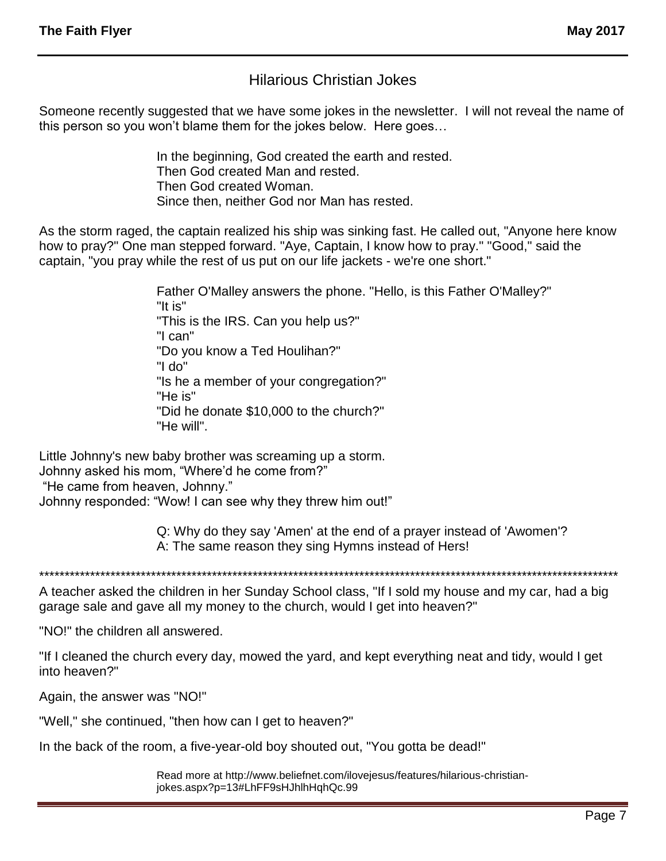## Hilarious Christian Jokes

Someone recently suggested that we have some jokes in the newsletter. I will not reveal the name of this person so you won't blame them for the jokes below. Here goes…

> In the beginning, God created the earth and rested. Then God created Man and rested. Then God created Woman. Since then, neither God nor Man has rested.

As the storm raged, the captain realized his ship was sinking fast. He called out, "Anyone here know how to pray?" One man stepped forward. "Aye, Captain, I know how to pray." "Good," said the captain, "you pray while the rest of us put on our life jackets - we're one short."

> Father O'Malley answers the phone. "Hello, is this Father O'Malley?" "It is" "This is the IRS. Can you help us?" "I can" "Do you know a Ted Houlihan?" "I do" "Is he a member of your congregation?" "He is" "Did he donate \$10,000 to the church?" "He will".

Little Johnny's new baby brother was screaming up a storm. Johnny asked his mom, "Where'd he come from?"

"He came from heaven, Johnny."

Johnny responded: "Wow! I can see why they threw him out!"

Q: Why do they say 'Amen' at the end of a prayer instead of 'Awomen'? A: The same reason they sing Hymns instead of Hers!

\*\*\*\*\*\*\*\*\*\*\*\*\*\*\*\*\*\*\*\*\*\*\*\*\*\*\*\*\*\*\*\*\*\*\*\*\*\*\*\*\*\*\*\*\*\*\*\*\*\*\*\*\*\*\*\*\*\*\*\*\*\*\*\*\*\*\*\*\*\*\*\*\*\*\*\*\*\*\*\*\*\*\*\*\*\*\*\*\*\*\*\*\*\*\*\*\*\*\*\*\*\*\*\*\*\*\*\*\*\*\*\*\*\*

A teacher asked the children in her Sunday School class, "If I sold my house and my car, had a big garage sale and gave all my money to the church, would I get into heaven?"

"NO!" the children all answered.

"If I cleaned the church every day, mowed the yard, and kept everything neat and tidy, would I get into heaven?"

Again, the answer was "NO!"

"Well," she continued, "then how can I get to heaven?"

In the back of the room, a five-year-old boy shouted out, "You gotta be dead!"

Read more at http://www.beliefnet.com/ilovejesus/features/hilarious-christianjokes.aspx?p=13#LhFF9sHJhlhHqhQc.99